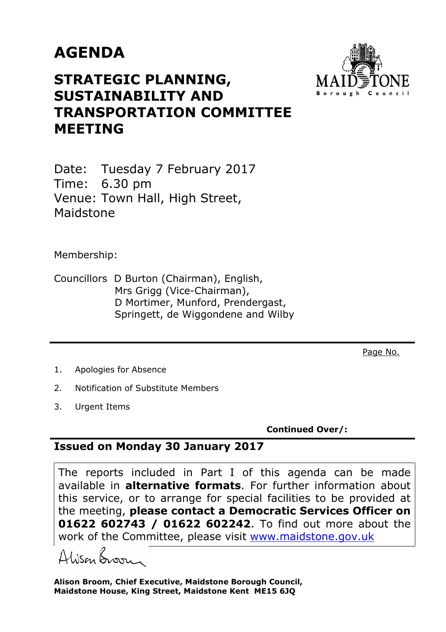## **AGENDA**



## **STRATEGIC PLANNING, SUSTAINABILITY AND TRANSPORTATION COMMITTEE MEETING**

Date: Tuesday 7 February 2017 Time: 6.30 pm Venue: Town Hall, High Street, Maidstone

Membership:

Councillors D Burton (Chairman), English, Mrs Grigg (Vice-Chairman), D Mortimer, Munford, Prendergast, Springett, de Wiggondene and Wilby

Page No.

- 1. Apologies for Absence
- 2. Notification of Substitute Members
- 3. Urgent Items

**Continued Over/:** 

## **Issued on Monday 30 January 2017**

The reports included in Part I of this agenda can be made available in **alternative formats**. For further information about this service, or to arrange for special facilities to be provided at the meeting, **please contact a Democratic Services Officer on 01622 602743 / 01622 602242**. To find out more about the work of the Committee, please visit www.maidstone.gov.uk

Alisan Broom

**Alison Broom, Chief Executive, Maidstone Borough Council, Maidstone House, King Street, Maidstone Kent ME15 6JQ**